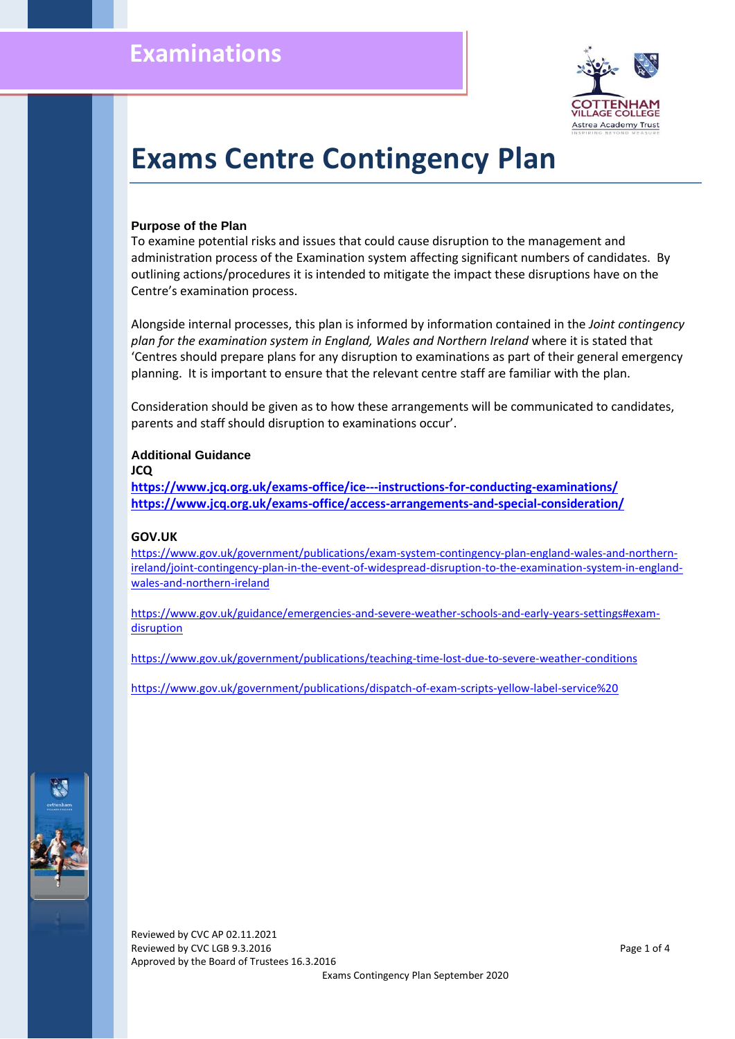

# **Exams Centre Contingency Plan**

#### **Purpose of the Plan**

To examine potential risks and issues that could cause disruption to the management and administration process of the Examination system affecting significant numbers of candidates. By outlining actions/procedures it is intended to mitigate the impact these disruptions have on the Centre's examination process.

Alongside internal processes, this plan is informed by information contained in the *Joint contingency plan for the examination system in England, Wales and Northern Ireland* where it is stated that 'Centres should prepare plans for any disruption to examinations as part of their general emergency planning. It is important to ensure that the relevant centre staff are familiar with the plan.

Consideration should be given as to how these arrangements will be communicated to candidates, parents and staff should disruption to examinations occur'.

### **Additional Guidance**

**JCQ**

**<https://www.jcq.org.uk/exams-office/ice---instructions-for-conducting-examinations/> <https://www.jcq.org.uk/exams-office/access-arrangements-and-special-consideration/>**

#### **GOV.UK**

[https://www.gov.uk/government/publications/exam-system-contingency-plan-england-wales-and-northern](https://www.gov.uk/government/publications/exam-system-contingency-plan-england-wales-and-northern-ireland/joint-contingency-plan-in-the-event-of-widespread-disruption-to-the-examination-system-in-england-wales-and-northern-ireland)[ireland/joint-contingency-plan-in-the-event-of-widespread-disruption-to-the-examination-system-in-england](https://www.gov.uk/government/publications/exam-system-contingency-plan-england-wales-and-northern-ireland/joint-contingency-plan-in-the-event-of-widespread-disruption-to-the-examination-system-in-england-wales-and-northern-ireland)[wales-and-northern-ireland](https://www.gov.uk/government/publications/exam-system-contingency-plan-england-wales-and-northern-ireland/joint-contingency-plan-in-the-event-of-widespread-disruption-to-the-examination-system-in-england-wales-and-northern-ireland)

[https://www.gov.uk/guidance/emergencies-and-severe-weather-schools-and-early-years-settings#exam](https://www.gov.uk/guidance/emergencies-and-severe-weather-schools-and-early-years-settings#exam-disruption)[disruption](https://www.gov.uk/guidance/emergencies-and-severe-weather-schools-and-early-years-settings#exam-disruption)

<https://www.gov.uk/government/publications/teaching-time-lost-due-to-severe-weather-conditions>

[https://www.gov.uk/government/publications/dispatch-of-exam-scripts-yellow-label-service%20](https://www.gov.uk/government/publications/dispatch-of-exam-scripts-yellow-label-service)



Reviewed by CVC AP 02.11.2021 Reviewed by CVC LGB 9.3.2016 **Page 1 of 4** and 2011 **Page 1 of 4** and 2012 **Page 1 of 4** and 2012 **Page 1 of 4** Approved by the Board of Trustees 16.3.2016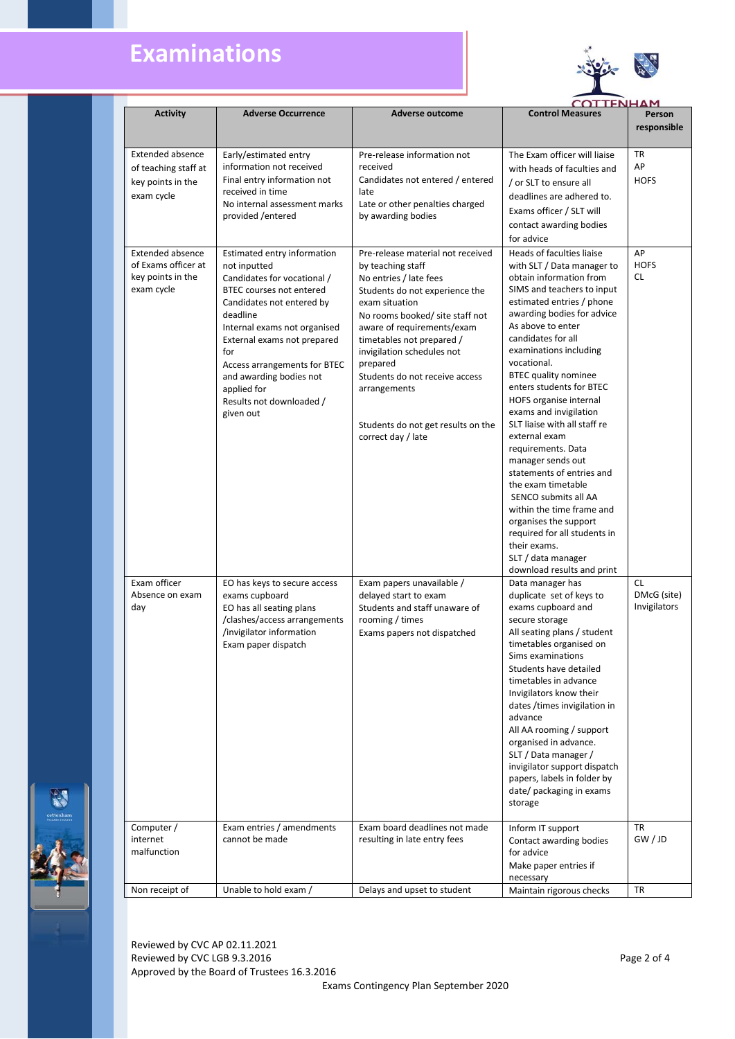# **Examinations**



|                                                                                    |                                                                                                                                                                                                                                                                                                                                                 |                                                                                                                                                                                                                                                                                                                                                                                            | <b>COTTENHAM</b>                                                                                                                                                                                                                                                                                                                                                                                                                                                                                                                                                                                                                                                                                                |                                          |
|------------------------------------------------------------------------------------|-------------------------------------------------------------------------------------------------------------------------------------------------------------------------------------------------------------------------------------------------------------------------------------------------------------------------------------------------|--------------------------------------------------------------------------------------------------------------------------------------------------------------------------------------------------------------------------------------------------------------------------------------------------------------------------------------------------------------------------------------------|-----------------------------------------------------------------------------------------------------------------------------------------------------------------------------------------------------------------------------------------------------------------------------------------------------------------------------------------------------------------------------------------------------------------------------------------------------------------------------------------------------------------------------------------------------------------------------------------------------------------------------------------------------------------------------------------------------------------|------------------------------------------|
| <b>Activity</b>                                                                    | <b>Adverse Occurrence</b>                                                                                                                                                                                                                                                                                                                       | <b>Adverse outcome</b>                                                                                                                                                                                                                                                                                                                                                                     | <b>Control Measures</b>                                                                                                                                                                                                                                                                                                                                                                                                                                                                                                                                                                                                                                                                                         | Person<br>responsible                    |
| <b>Extended absence</b><br>of teaching staff at<br>key points in the<br>exam cycle | Early/estimated entry<br>information not received<br>Final entry information not<br>received in time<br>No internal assessment marks<br>provided / entered                                                                                                                                                                                      | Pre-release information not<br>received<br>Candidates not entered / entered<br>late<br>Late or other penalties charged<br>by awarding bodies                                                                                                                                                                                                                                               | The Exam officer will liaise<br>with heads of faculties and<br>/ or SLT to ensure all<br>deadlines are adhered to.<br>Exams officer / SLT will<br>contact awarding bodies<br>for advice                                                                                                                                                                                                                                                                                                                                                                                                                                                                                                                         | <b>TR</b><br>AP<br><b>HOFS</b>           |
| <b>Extended absence</b><br>of Exams officer at<br>key points in the<br>exam cycle  | Estimated entry information<br>not inputted<br>Candidates for vocational /<br><b>BTEC courses not entered</b><br>Candidates not entered by<br>deadline<br>Internal exams not organised<br>External exams not prepared<br>for<br>Access arrangements for BTEC<br>and awarding bodies not<br>applied for<br>Results not downloaded /<br>given out | Pre-release material not received<br>by teaching staff<br>No entries / late fees<br>Students do not experience the<br>exam situation<br>No rooms booked/ site staff not<br>aware of requirements/exam<br>timetables not prepared /<br>invigilation schedules not<br>prepared<br>Students do not receive access<br>arrangements<br>Students do not get results on the<br>correct day / late | Heads of faculties liaise<br>with SLT / Data manager to<br>obtain information from<br>SIMS and teachers to input<br>estimated entries / phone<br>awarding bodies for advice<br>As above to enter<br>candidates for all<br>examinations including<br>vocational.<br><b>BTEC quality nominee</b><br>enters students for BTEC<br>HOFS organise internal<br>exams and invigilation<br>SLT liaise with all staff re<br>external exam<br>requirements. Data<br>manager sends out<br>statements of entries and<br>the exam timetable<br>SENCO submits all AA<br>within the time frame and<br>organises the support<br>required for all students in<br>their exams.<br>SLT / data manager<br>download results and print | AP<br><b>HOFS</b><br>CL                  |
| Exam officer<br>Absence on exam<br>day                                             | EO has keys to secure access<br>exams cupboard<br>EO has all seating plans<br>/clashes/access arrangements<br>/invigilator information<br>Exam paper dispatch                                                                                                                                                                                   | Exam papers unavailable /<br>delayed start to exam<br>Students and staff unaware of<br>rooming / times<br>Exams papers not dispatched                                                                                                                                                                                                                                                      | Data manager has<br>duplicate set of keys to<br>exams cupboard and<br>secure storage<br>All seating plans / student<br>timetables organised on<br>Sims examinations<br>Students have detailed<br>timetables in advance<br>Invigilators know their<br>dates /times invigilation in<br>advance<br>All AA rooming / support<br>organised in advance.<br>SLT / Data manager /<br>invigilator support dispatch<br>papers, labels in folder by<br>date/ packaging in exams<br>storage                                                                                                                                                                                                                                 | <b>CL</b><br>DMcG (site)<br>Invigilators |
| Computer /<br>internet<br>malfunction                                              | Exam entries / amendments<br>cannot be made                                                                                                                                                                                                                                                                                                     | Exam board deadlines not made<br>resulting in late entry fees                                                                                                                                                                                                                                                                                                                              | Inform IT support<br>Contact awarding bodies<br>for advice<br>Make paper entries if                                                                                                                                                                                                                                                                                                                                                                                                                                                                                                                                                                                                                             | TR<br>GW / JD                            |
| Non receipt of                                                                     | Unable to hold exam /                                                                                                                                                                                                                                                                                                                           | Delays and upset to student                                                                                                                                                                                                                                                                                                                                                                | necessary<br>Maintain rigorous checks                                                                                                                                                                                                                                                                                                                                                                                                                                                                                                                                                                                                                                                                           | TR                                       |

Reviewed by CVC AP 02.11.2021 Reviewed by CVC LGB 9.3.2016 **Page 2 of 4** Approved by the Board of Trustees 16.3.2016 Exams Contingency Plan September 2020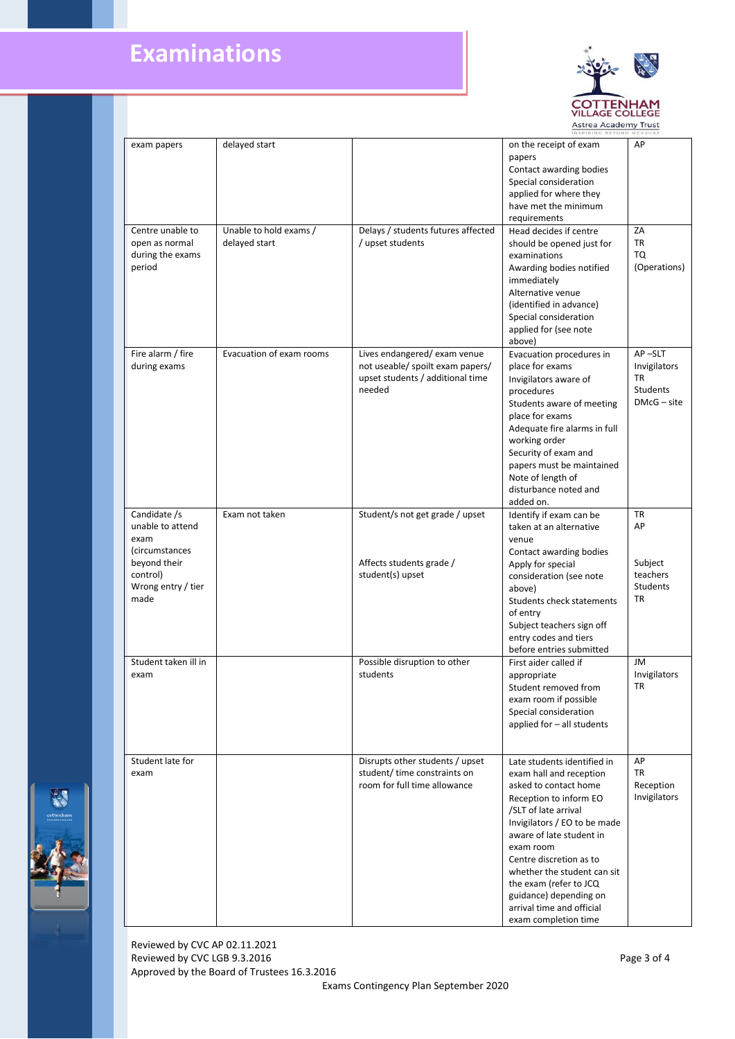## **Examinations**



|                                                                                                                      |                                         |                                                                                                                | INSPIRING BEYOND MEASURE                                                                                                                                                                                                                                                                                                                                                      |                                                                  |
|----------------------------------------------------------------------------------------------------------------------|-----------------------------------------|----------------------------------------------------------------------------------------------------------------|-------------------------------------------------------------------------------------------------------------------------------------------------------------------------------------------------------------------------------------------------------------------------------------------------------------------------------------------------------------------------------|------------------------------------------------------------------|
| exam papers                                                                                                          | delayed start                           |                                                                                                                | on the receipt of exam<br>papers<br>Contact awarding bodies<br>Special consideration<br>applied for where they<br>have met the minimum<br>requirements                                                                                                                                                                                                                        | AP                                                               |
| Centre unable to<br>open as normal<br>during the exams<br>period                                                     | Unable to hold exams /<br>delayed start | Delays / students futures affected<br>/ upset students                                                         | Head decides if centre<br>should be opened just for<br>examinations<br>Awarding bodies notified<br>immediately<br>Alternative venue<br>(identified in advance)<br>Special consideration<br>applied for (see note<br>above)                                                                                                                                                    | ZA<br><b>TR</b><br>TQ<br>(Operations)                            |
| Fire alarm / fire<br>during exams                                                                                    | Evacuation of exam rooms                | Lives endangered/ exam venue<br>not useable/ spoilt exam papers/<br>upset students / additional time<br>needed | Evacuation procedures in<br>place for exams<br>Invigilators aware of<br>procedures<br>Students aware of meeting<br>place for exams<br>Adequate fire alarms in full<br>working order<br>Security of exam and<br>papers must be maintained<br>Note of length of<br>disturbance noted and<br>added on.                                                                           | AP-SLT<br>Invigilators<br><b>TR</b><br>Students<br>$DMcG - site$ |
| Candidate /s<br>unable to attend<br>exam<br>(circumstances<br>beyond their<br>control)<br>Wrong entry / tier<br>made | Exam not taken                          | Student/s not get grade / upset<br>Affects students grade /<br>student(s) upset                                | Identify if exam can be<br>taken at an alternative<br>venue<br>Contact awarding bodies<br>Apply for special<br>consideration (see note<br>above)<br>Students check statements<br>of entry<br>Subject teachers sign off<br>entry codes and tiers<br>before entries submitted                                                                                                   | <b>TR</b><br>AP<br>Subject<br>teachers<br>Students<br>TR         |
| Student taken ill in<br>exam                                                                                         |                                         | Possible disruption to other<br>students                                                                       | First aider called if<br>appropriate<br>Student removed from<br>exam room if possible<br>Special consideration<br>applied for - all students                                                                                                                                                                                                                                  | JM<br>Invigilators<br><b>TR</b>                                  |
| Student late for<br>exam                                                                                             |                                         | Disrupts other students / upset<br>student/ time constraints on<br>room for full time allowance                | Late students identified in<br>exam hall and reception<br>asked to contact home<br>Reception to inform EO<br>/SLT of late arrival<br>Invigilators / EO to be made<br>aware of late student in<br>exam room<br>Centre discretion as to<br>whether the student can sit<br>the exam (refer to JCQ<br>guidance) depending on<br>arrival time and official<br>exam completion time | AP<br>TR<br>Reception<br>Invigilators                            |

Reviewed by CVC AP 02.11.2021 Reviewed by CVC LGB 9.3.2016 **Page 3 of 4** Approved by the Board of Trustees 16.3.2016 Exams Contingency Plan September 2020